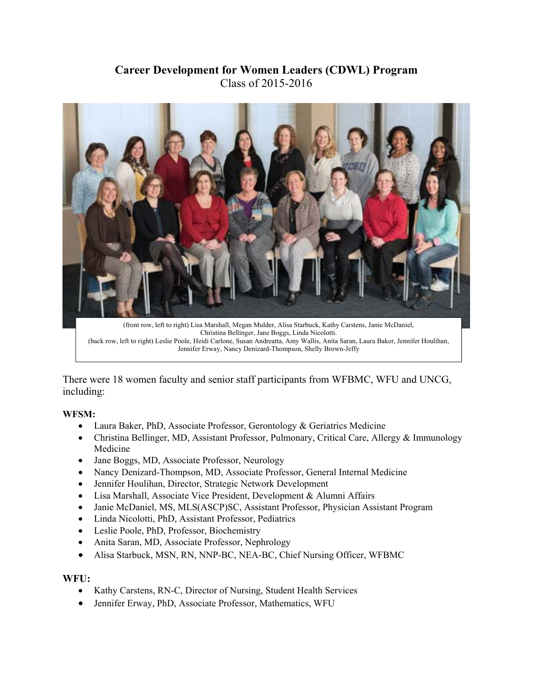## **Career Development for Women Leaders (CDWL) Program**  Class of 2015-2016



Christina Bellinger, Jane Boggs, Linda Nicolotti. (back row, left to right) Leslie Poole, Heidi Carlone, Susan Andreatta, Amy Wallis, Anita Saran, Laura Baker, Jennifer Houlihan, Jennifer Erway, Nancy Denizard-Thompson, Shelly Brown-Jeffy

There were 18 women faculty and senior staff participants from WFBMC, WFU and UNCG, including:

## **WFSM:**

- Laura Baker, PhD, Associate Professor, Gerontology & Geriatrics Medicine
- Christina Bellinger, MD, Assistant Professor, Pulmonary, Critical Care, Allergy & Immunology Medicine
- Jane Boggs, MD, Associate Professor, Neurology
- Nancy Denizard-Thompson, MD, Associate Professor, General Internal Medicine
- Jennifer Houlihan, Director, Strategic Network Development
- Lisa Marshall, Associate Vice President, Development & Alumni Affairs
- Janie McDaniel, MS, MLS(ASCP)SC, Assistant Professor, Physician Assistant Program
- Linda Nicolotti, PhD, Assistant Professor, Pediatrics
- Leslie Poole, PhD, Professor, Biochemistry
- Anita Saran, MD, Associate Professor, Nephrology
- Alisa Starbuck, MSN, RN, NNP-BC, NEA-BC, Chief Nursing Officer, WFBMC

## **WFU:**

- Kathy Carstens, RN-C, Director of Nursing, Student Health Services
- Jennifer Erway, PhD, Associate Professor, Mathematics, WFU